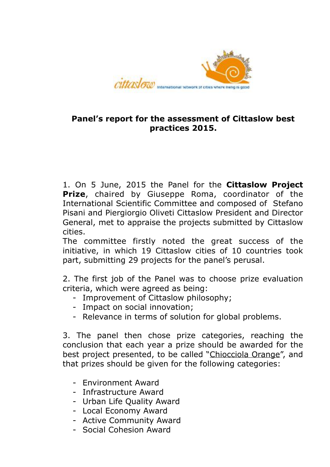

#### **Panel's report for the assessment of Cittaslow best practices 2015.**

1. On 5 June, 2015 the Panel for the **Cittaslow Project Prize**, chaired by Giuseppe Roma, coordinator of the International Scientific Committee and composed of Stefano Pisani and Piergiorgio Oliveti Cittaslow President and Director General, met to appraise the projects submitted by Cittaslow cities.

The committee firstly noted the great success of the initiative, in which 19 Cittaslow cities of 10 countries took part, submitting 29 projects for the panel's perusal.

2. The first job of the Panel was to choose prize evaluation criteria, which were agreed as being:

- Improvement of Cittaslow philosophy;
- Impact on social innovation;
- Relevance in terms of solution for global problems.

3. The panel then chose prize categories, reaching the conclusion that each year a prize should be awarded for the best project presented, to be called "Chiocciola Orange", and that prizes should be given for the following categories:

- Environment Award
- Infrastructure Award
- Urban Life Quality Award
- Local Economy Award
- Active Community Award
- Social Cohesion Award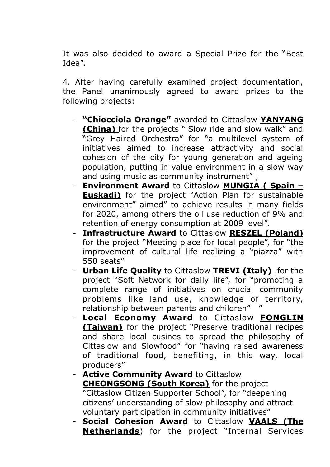It was also decided to award a Special Prize for the "Best Idea".

4. After having carefully examined project documentation, the Panel unanimously agreed to award prizes to the following projects:

- **"Chiocciola Orange"** awarded to Cittaslow **YANYANG (China)** for the projects " Slow ride and slow walk" and "Grey Haired Orchestra" for "a multilevel system of initiatives aimed to increase attractivity and social cohesion of the city for young generation and ageing population, putting in value environment in a slow way and using music as community instrument" ;
- **Environment Award** to Cittaslow **MUNGIA ( Spain Euskadi)** for the project "Action Plan for sustainable environment" aimed" to achieve results in many fields for 2020, among others the oil use reduction of 9% and retention of energy consumption at 2009 level".
- **Infrastructure Award** to Cittaslow **RESZEL (Poland)**  for the project "Meeting place for local people", for "the improvement of cultural life realizing a "piazza" with 550 seats"
- **Urban Life Quality** to Cittaslow **TREVI (Italy)** for the project "Soft Network for daily life", for "promoting a complete range of initiatives on crucial community problems like land use, knowledge of territory, relationship between parents and children" "
- **Local Economy Award** to Cittaslow **FONGLIN (Taiwan)** for the project "Preserve traditional recipes and share local cusines to spread the philosophy of Cittaslow and Slowfood" for "having raised awareness of traditional food, benefiting, in this way, local producers"
- **Active Community Award** to Cittaslow **CHEONGSONG (South Korea)** for the project "Cittaslow Citizen Supporter School", for "deepening citizens' understanding of slow philosophy and attract voluntary participation in community initiatives"
- **Social Cohesion Award** to Cittaslow **VAALS (The Netherlands**) for the project "Internal Services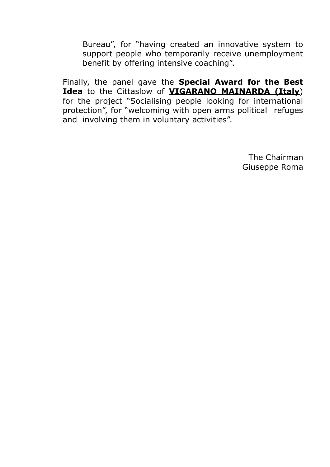Bureau", for "having created an innovative system to support people who temporarily receive unemployment benefit by offering intensive coaching".

Finally, the panel gave the **Special Award for the Best Idea** to the Cittaslow of **VIGARANO MAINARDA (Italy**) for the project "Socialising people looking for international protection", for "welcoming with open arms political refuges and involving them in voluntary activities".

> The Chairman Giuseppe Roma